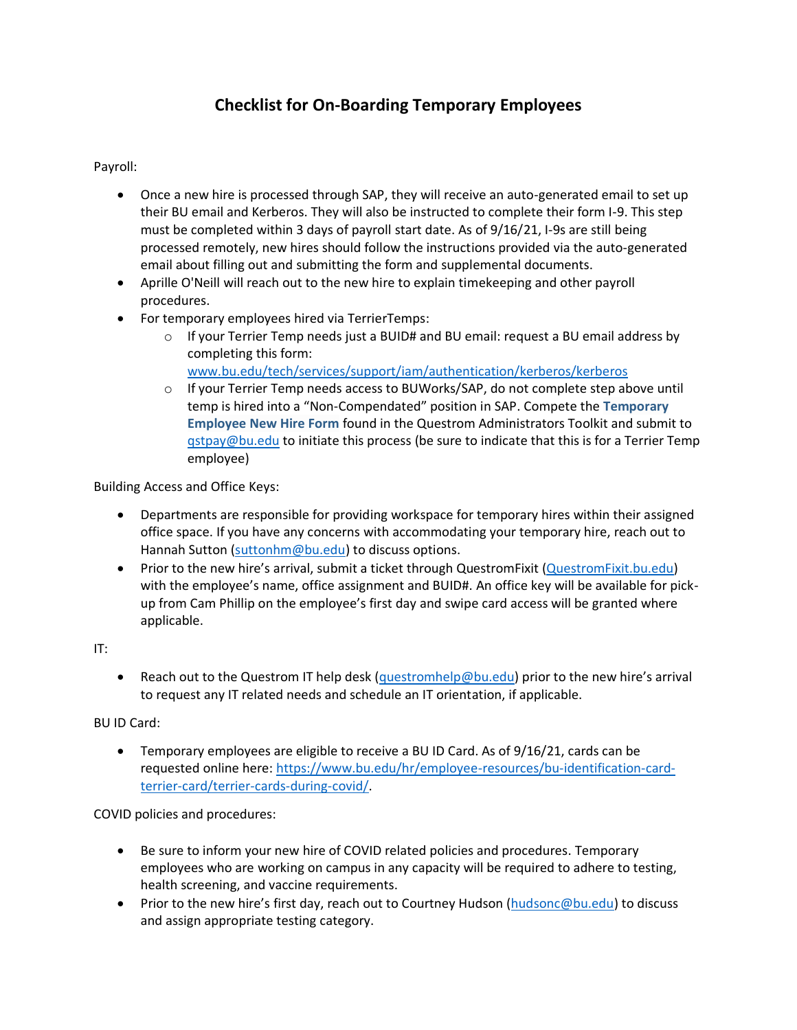## **Checklist for On-Boarding Temporary Employees**

Payroll:

- Once a new hire is processed through SAP, they will receive an auto-generated email to set up their BU email and Kerberos. They will also be instructed to complete their form I-9. This step must be completed within 3 days of payroll start date. As of 9/16/21, I-9s are still being processed remotely, new hires should follow the instructions provided via the auto-generated email about filling out and submitting the form and supplemental documents.
- Aprille O'Neill will reach out to the new hire to explain timekeeping and other payroll procedures.
- For temporary employees hired via TerrierTemps:
	- $\circ$  If your Terrier Temp needs just a BUID# and BU email: request a BU email address by completing this form:
		- [www.bu.edu/tech/services/support/iam/authentication/kerberos/kerberos](http://www.bu.edu/tech/services/support/iam/authentication/kerberos/kerberos)
	- $\circ$  If your Terrier Temp needs access to BUWorks/SAP, do not complete step above until temp is hired into a "Non-Compendated" position in SAP. Compete the **[Temporary](http://smgpublish.bu.edu/toolkit/Forms_for_Admin_Tool_Kit_Payroll/Temporary_Employee_New_Hire_Form.pdf) [Employee](http://smgpublish.bu.edu/toolkit/Forms_for_Admin_Tool_Kit_Payroll/Temporary_Employee_New_Hire_Form.pdf) New Hire Form** found in the Questrom Administrators Toolkit and submit to gstpay@bu.edu to initiate this process (be sure to indicate that this is for a Terrier Temp employee)

Building Access and Office Keys:

- Departments are responsible for providing workspace for temporary hires within their assigned office space. If you have any concerns with accommodating your temporary hire, reach out to Hannah Sutton [\(suttonhm@bu.edu\)](mailto:suttonhm@bu.edu) to discuss options.
- Prior to the new hire's arrival, submit a ticket through QuestromFixit [\(QuestromFixit.bu.edu\)](https://app.limblecmms.com/#!/loc-problem/2gqpwz3514/14976) with the employee's name, office assignment and BUID#. An office key will be available for pickup from Cam Phillip on the employee's first day and swipe card access will be granted where applicable.

IT:

• Reach out to the Questrom IT help desk [\(questromhelp@bu.edu\)](mailto:questromhelp@bu.edu) prior to the new hire's arrival to request any IT related needs and schedule an IT orientation, if applicable.

BU ID Card:

• Temporary employees are eligible to receive a BU ID Card. As of 9/16/21, cards can be requested online here: [https://www.bu.edu/hr/employee-resources/bu-identification-card](https://www.bu.edu/hr/employee-resources/bu-identification-card-terrier-card/terrier-cards-during-covid/)[terrier-card/terrier-cards-during-covid/.](https://www.bu.edu/hr/employee-resources/bu-identification-card-terrier-card/terrier-cards-during-covid/)

COVID policies and procedures:

- Be sure to inform your new hire of COVID related policies and procedures. Temporary employees who are working on campus in any capacity will be required to adhere to testing, health screening, and vaccine requirements.
- Prior to the new hire's first day, reach out to Courtney Hudson ([hudsonc@bu.edu\)](mailto:hudsonc@bu.edu) to discuss and assign appropriate testing category.